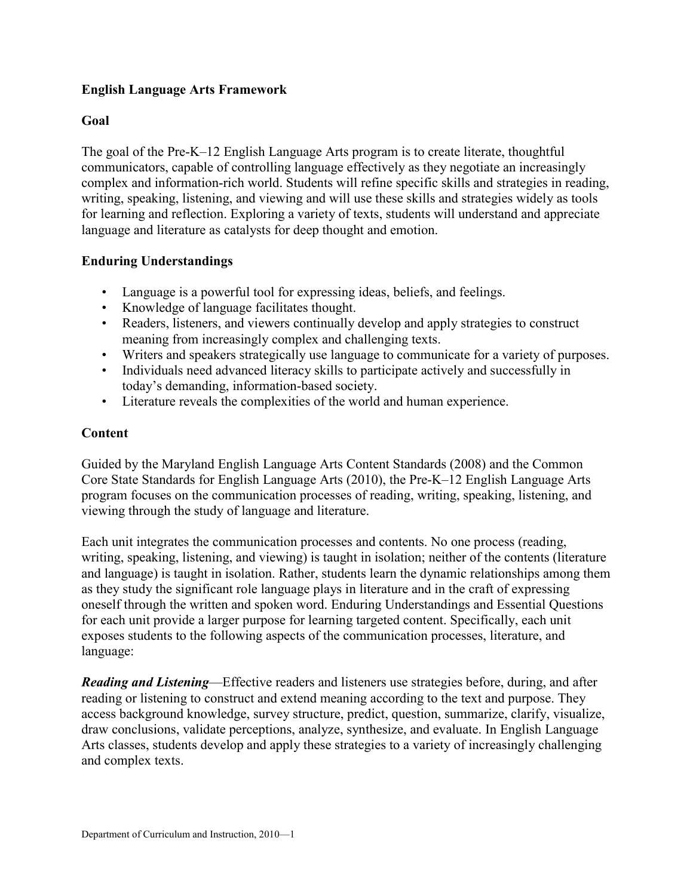## **English Language Arts Framework**

### **Goal**

The goal of the Pre-K–12 English Language Arts program is to create literate, thoughtful communicators, capable of controlling language effectively as they negotiate an increasingly complex and information-rich world. Students will refine specific skills and strategies in reading, writing, speaking, listening, and viewing and will use these skills and strategies widely as tools for learning and reflection. Exploring a variety of texts, students will understand and appreciate language and literature as catalysts for deep thought and emotion.

### **Enduring Understandings**

- Language is a powerful tool for expressing ideas, beliefs, and feelings.
- Knowledge of language facilitates thought.
- Readers, listeners, and viewers continually develop and apply strategies to construct meaning from increasingly complex and challenging texts.
- Writers and speakers strategically use language to communicate for a variety of purposes.
- Individuals need advanced literacy skills to participate actively and successfully in today's demanding, information-based society.
- Literature reveals the complexities of the world and human experience.

### **Content**

Guided by the Maryland English Language Arts Content Standards (2008) and the Common Core State Standards for English Language Arts (2010), the Pre-K–12 English Language Arts program focuses on the communication processes of reading, writing, speaking, listening, and viewing through the study of language and literature.

Each unit integrates the communication processes and contents. No one process (reading, writing, speaking, listening, and viewing) is taught in isolation; neither of the contents (literature and language) is taught in isolation. Rather, students learn the dynamic relationships among them as they study the significant role language plays in literature and in the craft of expressing oneself through the written and spoken word. Enduring Understandings and Essential Questions for each unit provide a larger purpose for learning targeted content. Specifically, each unit exposes students to the following aspects of the communication processes, literature, and language:

*Reading and Listening*—Effective readers and listeners use strategies before, during, and after reading or listening to construct and extend meaning according to the text and purpose. They access background knowledge, survey structure, predict, question, summarize, clarify, visualize, draw conclusions, validate perceptions, analyze, synthesize, and evaluate. In English Language Arts classes, students develop and apply these strategies to a variety of increasingly challenging and complex texts.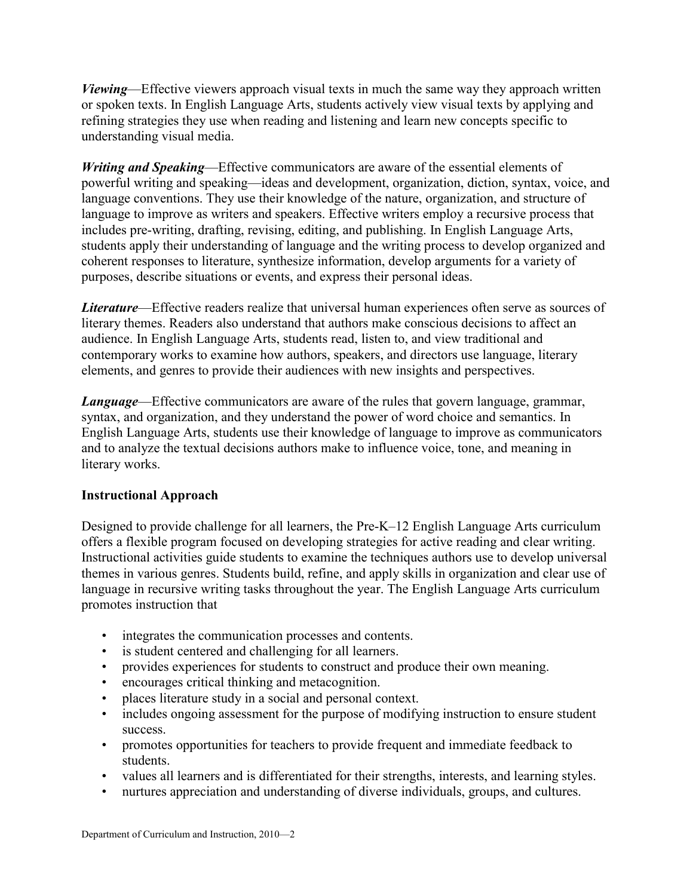*Viewing*—Effective viewers approach visual texts in much the same way they approach written or spoken texts. In English Language Arts, students actively view visual texts by applying and refining strategies they use when reading and listening and learn new concepts specific to understanding visual media.

*Writing and Speaking*—Effective communicators are aware of the essential elements of powerful writing and speaking—ideas and development, organization, diction, syntax, voice, and language conventions. They use their knowledge of the nature, organization, and structure of language to improve as writers and speakers. Effective writers employ a recursive process that includes pre-writing, drafting, revising, editing, and publishing. In English Language Arts, students apply their understanding of language and the writing process to develop organized and coherent responses to literature, synthesize information, develop arguments for a variety of purposes, describe situations or events, and express their personal ideas.

*Literature*—Effective readers realize that universal human experiences often serve as sources of literary themes. Readers also understand that authors make conscious decisions to affect an audience. In English Language Arts, students read, listen to, and view traditional and contemporary works to examine how authors, speakers, and directors use language, literary elements, and genres to provide their audiences with new insights and perspectives.

*Language—Effective communicators are aware of the rules that govern language, grammar,* syntax, and organization, and they understand the power of word choice and semantics. In English Language Arts, students use their knowledge of language to improve as communicators and to analyze the textual decisions authors make to influence voice, tone, and meaning in literary works.

### **Instructional Approach**

Designed to provide challenge for all learners, the Pre-K–12 English Language Arts curriculum offers a flexible program focused on developing strategies for active reading and clear writing. Instructional activities guide students to examine the techniques authors use to develop universal themes in various genres. Students build, refine, and apply skills in organization and clear use of language in recursive writing tasks throughout the year. The English Language Arts curriculum promotes instruction that

- integrates the communication processes and contents.
- is student centered and challenging for all learners.
- provides experiences for students to construct and produce their own meaning.
- encourages critical thinking and metacognition.
- places literature study in a social and personal context.
- includes ongoing assessment for the purpose of modifying instruction to ensure student success.
- promotes opportunities for teachers to provide frequent and immediate feedback to students.
- values all learners and is differentiated for their strengths, interests, and learning styles.
- nurtures appreciation and understanding of diverse individuals, groups, and cultures.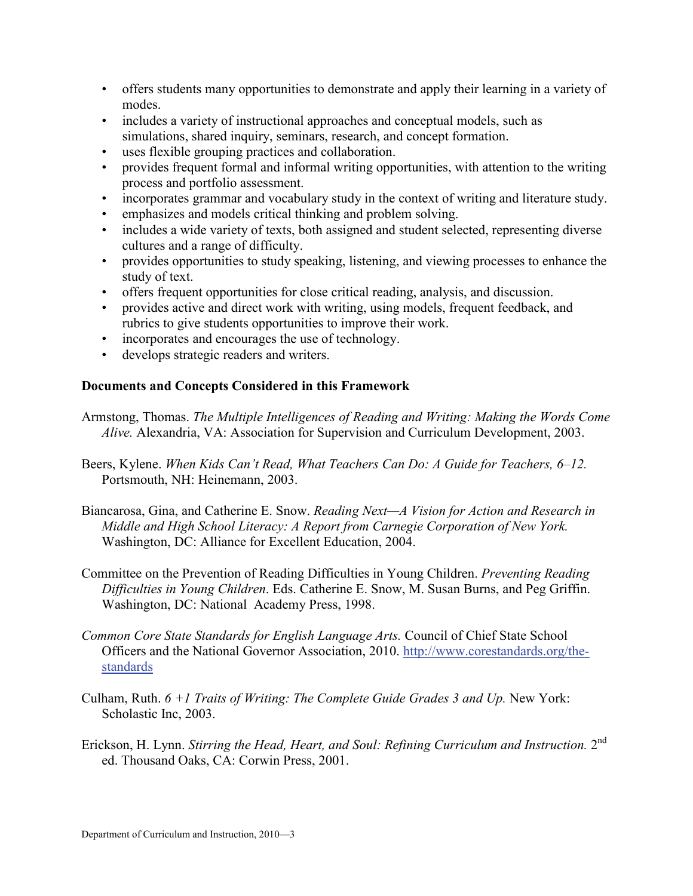- offers students many opportunities to demonstrate and apply their learning in a variety of modes.
- includes a variety of instructional approaches and conceptual models, such as simulations, shared inquiry, seminars, research, and concept formation.
- uses flexible grouping practices and collaboration.
- provides frequent formal and informal writing opportunities, with attention to the writing process and portfolio assessment.
- incorporates grammar and vocabulary study in the context of writing and literature study.
- emphasizes and models critical thinking and problem solving.
- includes a wide variety of texts, both assigned and student selected, representing diverse cultures and a range of difficulty.
- provides opportunities to study speaking, listening, and viewing processes to enhance the study of text.
- offers frequent opportunities for close critical reading, analysis, and discussion.
- provides active and direct work with writing, using models, frequent feedback, and rubrics to give students opportunities to improve their work.
- incorporates and encourages the use of technology.
- develops strategic readers and writers.

# **Documents and Concepts Considered in this Framework**

- Armstong, Thomas. *The Multiple Intelligences of Reading and Writing: Making the Words Come Alive.* Alexandria, VA: Association for Supervision and Curriculum Development, 2003.
- Beers, Kylene. *When Kids Can't Read, What Teachers Can Do: A Guide for Teachers, 6–12.*  Portsmouth, NH: Heinemann, 2003.
- Biancarosa, Gina, and Catherine E. Snow. *Reading Next—A Vision for Action and Research in Middle and High School Literacy: A Report from Carnegie Corporation of New York.*  Washington, DC: Alliance for Excellent Education, 2004.
- Committee on the Prevention of Reading Difficulties in Young Children. *Preventing Reading Difficulties in Young Children*. Eds. Catherine E. Snow, M. Susan Burns, and Peg Griffin. Washington, DC: National Academy Press, 1998.
- *Common Core State Standards for English Language Arts.* Council of Chief State School Officers and the National Governor Association, 2010. [http://www.corestandards.org/the](http://www.corestandards.org/the-standards)[standards](http://www.corestandards.org/the-standards)
- Culham, Ruth. *6 +1 Traits of Writing: The Complete Guide Grades 3 and Up.* New York: Scholastic Inc, 2003.
- Erickson, H. Lynn. *Stirring the Head, Heart, and Soul: Refining Curriculum and Instruction.* 2nd ed. Thousand Oaks, CA: Corwin Press, 2001.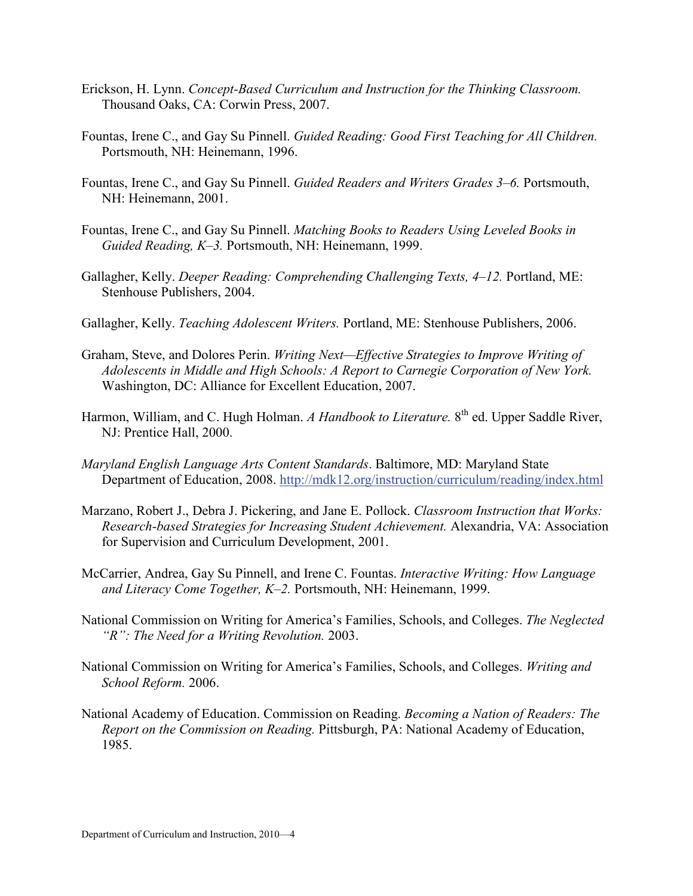- Erickson, H. Lynn. *Concept-Based Curriculum and Instruction for the Thinking Classroom.* Thousand Oaks, CA: Corwin Press, 2007.
- Fountas, Irene C., and Gay Su Pinnell. *Guided Reading: Good First Teaching for All Children.* Portsmouth, NH: Heinemann, 1996.
- Fountas, Irene C., and Gay Su Pinnell. *Guided Readers and Writers Grades 3–6.* Portsmouth, NH: Heinemann, 2001.
- Fountas, Irene C., and Gay Su Pinnell. *Matching Books to Readers Using Leveled Books in Guided Reading, K–3.* Portsmouth, NH: Heinemann, 1999.
- Gallagher, Kelly. *Deeper Reading: Comprehending Challenging Texts, 4–12.* Portland, ME: Stenhouse Publishers, 2004.
- Gallagher, Kelly. *Teaching Adolescent Writers.* Portland, ME: Stenhouse Publishers, 2006.
- Graham, Steve, and Dolores Perin. *Writing Next—Effective Strategies to Improve Writing of Adolescents in Middle and High Schools: A Report to Carnegie Corporation of New York.*  Washington, DC: Alliance for Excellent Education, 2007.
- Harmon, William, and C. Hugh Holman. *A Handbook to Literature*. 8<sup>th</sup> ed. Upper Saddle River, NJ: Prentice Hall, 2000.
- *Maryland English Language Arts Content Standards*. Baltimore, MD: Maryland State Department of Education, 2008.<http://mdk12.org/instruction/curriculum/reading/index.html>
- Marzano, Robert J., Debra J. Pickering, and Jane E. Pollock. *Classroom Instruction that Works: Research-based Strategies for Increasing Student Achievement.* Alexandria, VA: Association for Supervision and Curriculum Development, 2001.
- McCarrier, Andrea, Gay Su Pinnell, and Irene C. Fountas. *Interactive Writing: How Language and Literacy Come Together, K–2.* Portsmouth, NH: Heinemann, 1999.
- National Commission on Writing for America's Families, Schools, and Colleges. *The Neglected "R": The Need for a Writing Revolution.* 2003.
- National Commission on Writing for America's Families, Schools, and Colleges. *Writing and School Reform.* 2006.
- National Academy of Education. Commission on Reading. *Becoming a Nation of Readers: The Report on the Commission on Reading.* Pittsburgh, PA: National Academy of Education, 1985.